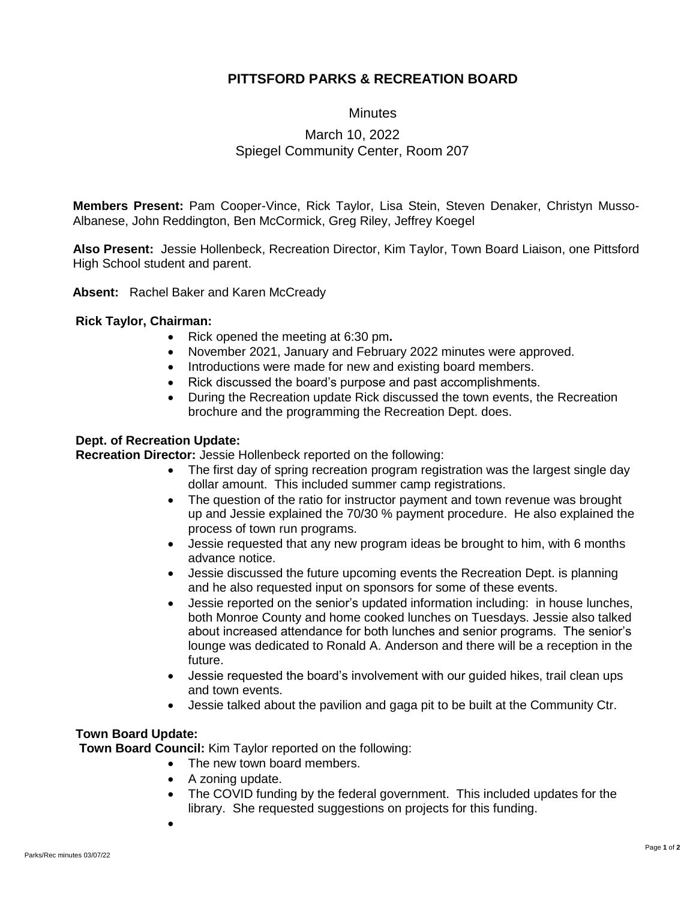## **PITTSFORD PARKS & RECREATION BOARD**

**Minutes** 

# March 10, 2022 Spiegel Community Center, Room 207

**Members Present:** Pam Cooper-Vince, Rick Taylor, Lisa Stein, Steven Denaker, Christyn Musso-Albanese, John Reddington, Ben McCormick, Greg Riley, Jeffrey Koegel

**Also Present:** Jessie Hollenbeck, Recreation Director, Kim Taylor, Town Board Liaison, one Pittsford High School student and parent.

**Absent:** Rachel Baker and Karen McCready

### **Rick Taylor, Chairman:**

- Rick opened the meeting at 6:30 pm**.**
- November 2021, January and February 2022 minutes were approved.
- Introductions were made for new and existing board members.
- Rick discussed the board's purpose and past accomplishments.
- During the Recreation update Rick discussed the town events, the Recreation brochure and the programming the Recreation Dept. does.

### **Dept. of Recreation Update:**

**Recreation Director:** Jessie Hollenbeck reported on the following:

- The first day of spring recreation program registration was the largest single day dollar amount. This included summer camp registrations.
- The question of the ratio for instructor payment and town revenue was brought up and Jessie explained the 70/30 % payment procedure. He also explained the process of town run programs.
- Jessie requested that any new program ideas be brought to him, with 6 months advance notice.
- Jessie discussed the future upcoming events the Recreation Dept. is planning and he also requested input on sponsors for some of these events.
- Jessie reported on the senior's updated information including: in house lunches, both Monroe County and home cooked lunches on Tuesdays. Jessie also talked about increased attendance for both lunches and senior programs. The senior's lounge was dedicated to Ronald A. Anderson and there will be a reception in the future.
- Jessie requested the board's involvement with our guided hikes, trail clean ups and town events.
- Jessie talked about the pavilion and gaga pit to be built at the Community Ctr.

### **Town Board Update:**

**Town Board Council:** Kim Taylor reported on the following:

- The new town board members.
	- A zoning update.
	- The COVID funding by the federal government. This included updates for the library. She requested suggestions on projects for this funding.